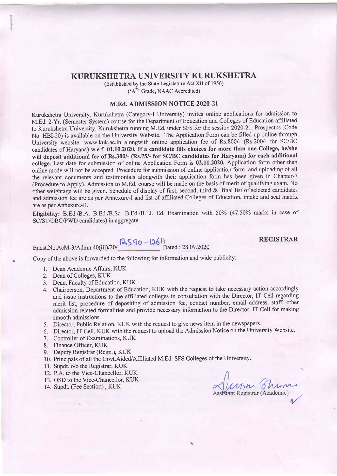# KURUKSHETRA UNIVERSITY KURUKSHETRA

(Established by the State Legislature Act XII of 1956) ('A'' Grade, NAAC Accredited)

#### M.Ed. ADMISSION NOTICE 2O2O-2I

Kurukshetra University, Kurukshetra (Category-I University) invites online applications for admission to M.Ed, 2-Yr. (Semester System) course for the Department of Education and Colleges of Education affiliated to Kurukshetra University, Kurukshetra running M.Ed. under SFS for the session 2020-21. Prospectus (Code No. HBI-20) is available on the University Website. The Application Form can be filled up online through University website: www.kuk.ac.in alongwith online application fee of Rs.800/- (Rs.200/- for SC/BC candidates of Haryana) w.e.f. 01.10.2020. If a candidate fills choices for more than one College, he/she will deposit additional fee of Rs.300/- (Rs.75/- for SC/BC candidates for Haryana) for each additional college. Last date for submission of online Application Form is 02.11.2020. Application form other than online mode will not be accepted. Procedure for submission of online application form and uploading of all the relevant documents and testimonials alongwith their application form has been given in Chapter-7 (Procedure to Apply). Admission to M.Ed. course will be made on the basis of merit of qualifying exam. No other weightage will be given. Schedule of display of first, second, third & final list of selected candidates and admission fee are as per Annexure-I and list of affiliated Colleges of Education, intake and seat matrix are as per Annexure-Il.

Eligibility: B.Ed./B.A. B.Ed./B.Sc. B.Ed./B.EI. Ed. Examination with 50% (47.50% marks in case of SC/ST/OBC/PWD candidates) in aggregate.

 $\frac{|\Im \Im q_0 - |\Im \Box|}{\Im \Im \Im \Box}$ Dated: 28.09.2020

REGISTRAR

Copy of the above is forwarded to the following for information and wide publicity:

- 1. Dean Academic-Affairs, KUK
- 2. Dean of Colleges, KUK
- 3. Dean, Faculty of Education, KUK
- 4. Chairperson, Department of Education, KUK with the request to take necessary action accordingly and issue instructions to the affiliated colleges in consultation with the Director, IT Cell regarding merit list, procedure of depositing of admission fee, contact number, email address, staff, other admission related formalities and provide necessary information to the Director, IT Cell for making smooth admissions.
- 5. Director, Public Relation, KUK with the request to give news item in the newspapers.
- 6. Director, IT Cell, KUK with the request to upload the Admission Notice on the University Website.
- 7. Controller of Examinations, KIJK
- 8. Finance Officer, KUK
- 9. Deputy Registrar (Regn.), KUK
- 10. Principals of all the Govt.Aided/Affiliated M.Ed. SFS Colleges of the University.
- 11. Supdt. o/o the Registrar, KUK
- 12. P.A. to the Vice-Chancellor. KUK
- 13. OSD to the Vice-Chancellor, KUK
- 

14. Supdt. (Fee Section), KUK Assistant Registrar (Academic)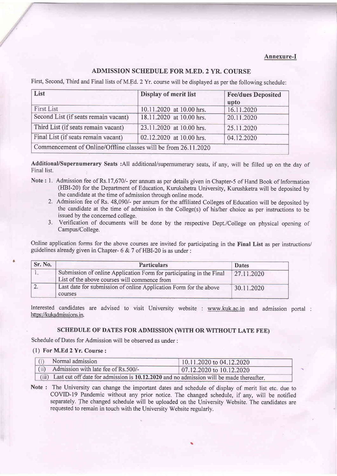#### Annexure-I

#### ADMISSION SCHEDULE FOR M.ED. 2 YR. COURSE

First, Second, Third and Final lists of M.Ed.2Yr. course will be displayed as per the following schedule:

| List                                                           | Display of merit list    | <b>Fee/dues Deposited</b><br>upto |  |  |  |  |  |
|----------------------------------------------------------------|--------------------------|-----------------------------------|--|--|--|--|--|
| <b>First List</b>                                              | 10.11.2020 at 10.00 hrs. | 16.11.2020                        |  |  |  |  |  |
| Second List (if seats remain vacant)                           | 18.11.2020 at 10.00 hrs. | 20.11.2020                        |  |  |  |  |  |
| Third List (if seats remain vacant)                            | 23.11.2020 at 10.00 hrs. | 25.11.2020                        |  |  |  |  |  |
| Final List (if seats remain vacant)                            | 02.12.2020 at 10.00 hrs. | 04.12.2020                        |  |  |  |  |  |
| Commencement of Online/Offline classes will be from 26.11.2020 |                          |                                   |  |  |  |  |  |

AdditionaUSupernumerary Seats :All additional/supemumerary seats, if any, will be filled up on the day of Final list.

- Note: L Admission fee of Rs.17,670/- per annum as per details given in Chapter-5 of Hand Book of Information (HBI-20) for the Department of Education, Kurukshetra University, Kurushketra will be deposited by the candidate at the time of admission through online mode.
	- 2. Admission fee of Rs. 48,090/- per annum for the affiliated Colleges of Education will be deposited by the candidate at the time of admission in the College(s) of his/her choice as per instructions to be issued by the concerned college.
	- 3. Verification of documents will be done by the respective Dept./College on physical opening of Campus/College.

Online application forms for the above courses are invited for participating in the Final List as per instructions/ guidelines already given in Chapter-  $6 & 7$  of HBI-20 is as under :

| Sr. No. | <b>Particulars</b>                                                   | <b>Dates</b> |  |  |
|---------|----------------------------------------------------------------------|--------------|--|--|
|         | Submission of online Application Form for participating in the Final | 27.11.2020   |  |  |
|         | List of the above courses will commence from                         |              |  |  |
|         | Last date for submission of online Application Form for the above    | 30.11.2020   |  |  |
|         | courses                                                              |              |  |  |

Interested candidates are advised to visit University website : www.kuk.ac.in and admission portal : https://kukadmissions.in.

#### SCHEDULE OF DATES FOR ADMISSION (WITH OR WITHOUT LATE FEE)

Schedule of Dates for Admission will be observed as under :

#### (1) For M.Ed 2 Yr. Course :

|                                                                                               | Normal admission                    | 10.11.2020 to 04.12.2020 |  |  |  |  |
|-----------------------------------------------------------------------------------------------|-------------------------------------|--------------------------|--|--|--|--|
| (ii)                                                                                          | Admission with late fee of Rs.500/- | 07.12.2020 to 10.12.2020 |  |  |  |  |
| (iii) Last cut off date for admission is 10.12.2020 and no admission will be made thereafter. |                                     |                          |  |  |  |  |

Note : The University can change the important dates and schedule of display of merit list etc. due to CQVID-l9 Pandemic without any prior notice. The changed schedule, if any, will be notified separately. The changed schedule will be uploaded on the University Website. The candidates are requested to remain in touch with the University Website regularly.